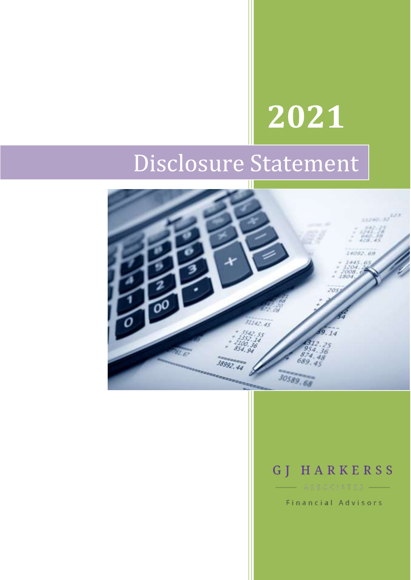# **2021**

## Disclosure Statement



## GJ HARKERSS

Financial Advisors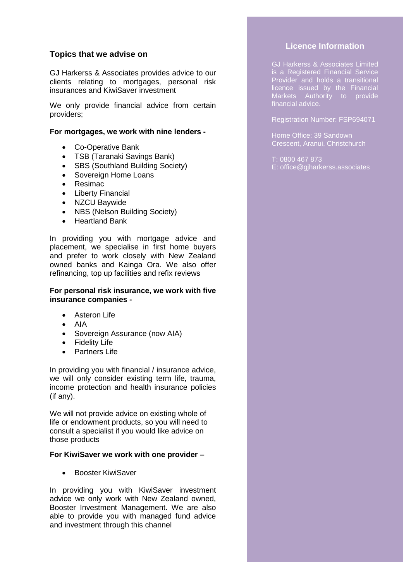#### **Topics that we advise on**

GJ Harkerss & Associates provides advice to our clients relating to mortgages, personal risk insurances and KiwiSaver investment

We only provide financial advice from certain providers;

#### **For mortgages, we work with nine lenders -**

- Co-Operative Bank
- TSB (Taranaki Savings Bank)
- SBS (Southland Building Society)
- Sovereign Home Loans
- Resimac
- Liberty Financial
- NZCU Baywide
- NBS (Nelson Building Society)
- Heartland Bank

In providing you with mortgage advice and placement, we specialise in first home buyers and prefer to work closely with New Zealand owned banks and Kainga Ora. We also offer refinancing, top up facilities and refix reviews

#### **For personal risk insurance, we work with five insurance companies -**

- Asteron Life
- AIA
- Sovereign Assurance (now AIA)
- Fidelity Life
- Partners Life

In providing you with financial / insurance advice, we will only consider existing term life, trauma, income protection and health insurance policies (if any).

We will not provide advice on existing whole of life or endowment products, so you will need to consult a specialist if you would like advice on those products

#### **For KiwiSaver we work with one provider –**

**•** Booster KiwiSaver

In providing you with KiwiSaver investment advice we only work with New Zealand owned, Booster Investment Management. We are also able to provide you with managed fund advice and investment through this channel

#### **Licence Information**

GJ Harkerss & Associates Limited is a Registered Financial Service Provider and holds a transitional licence issued by the Financial Markets Authority to provide financial advice.

Registration Number: FSP694071

Home Office: 39 Sandown Crescent, Aranui, Christchurch

T: 0800 467 873 E: office@gjharkerss.associates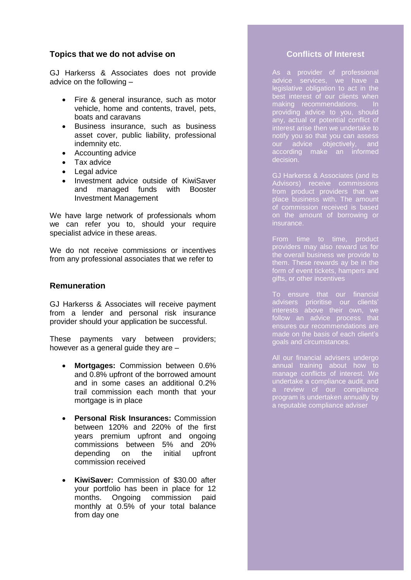#### **Topics that we do not advise on**

GJ Harkerss & Associates does not provide advice on the following –

- Fire & general insurance, such as motor vehicle, home and contents, travel, pets, boats and caravans
- Business insurance, such as business asset cover, public liability, professional indemnity etc.
- Accounting advice
- Tax advice
- Legal advice
- Investment advice outside of KiwiSaver and managed funds with Booster Investment Management

We have large network of professionals whom we can refer you to, should your require specialist advice in these areas.

We do not receive commissions or incentives from any professional associates that we refer to

#### **Remuneration**

GJ Harkerss & Associates will receive payment from a lender and personal risk insurance provider should your application be successful.

These payments vary between providers; however as a general guide they are –

- **Mortgages:** Commission between 0.6% and 0.8% upfront of the borrowed amount and in some cases an additional 0.2% trail commission each month that your mortgage is in place
- **Personal Risk Insurances:** Commission between 120% and 220% of the first years premium upfront and ongoing commissions between 5% and 20% depending on the initial upfront commission received
- **KiwiSaver:** Commission of \$30.00 after your portfolio has been in place for 12 months. Ongoing commission paid monthly at 0.5% of your total balance from day one

#### **Conflicts of Interest**

As a provider of professional advice services, we have a legislative obligation to act in the best interest of our clients when making recommendations. In providing advice to you, should any, actual or potential conflict of interest arise then we undertake to notify you so that you can assess our advice objectively, and according make an informed decision.

GJ Harkerss & Associates (and its Advisors) receive commissions from product providers that we place business with. The amount of commission received is based on the amount of borrowing or insurance.

From time to time, product providers may also reward us for the overall business we provide to them. These rewards ay be in the form of event tickets, hampers and gifts, or other incentives

To ensure that our financial advisers prioritise our clients' interests above their own, we follow an advice process that ensures our recommendations are made on the basis of each client's goals and circumstances.

All our financial advisers undergo annual training about how to manage conflicts of interest. We undertake a compliance audit, and a review of our compliance program is undertaken annually by a reputable compliance adviser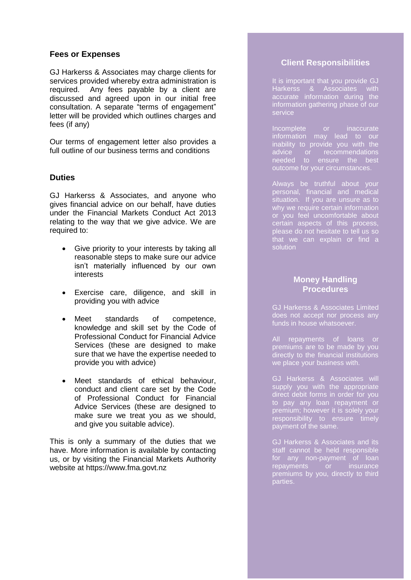#### **Fees or Expenses**

GJ Harkerss & Associates may charge clients for services provided whereby extra administration is required. Any fees payable by a client are discussed and agreed upon in our initial free consultation. A separate "terms of engagement" letter will be provided which outlines charges and fees (if any)

Our terms of engagement letter also provides a full outline of our business terms and conditions

#### **Duties**

GJ Harkerss & Associates, and anyone who gives financial advice on our behalf, have duties under the Financial Markets Conduct Act 2013 relating to the way that we give advice. We are required to:

- Give priority to your interests by taking all reasonable steps to make sure our advice isn't materially influenced by our own interests
- Exercise care, diligence, and skill in providing you with advice
- Meet standards of competence, knowledge and skill set by the Code of Professional Conduct for Financial Advice Services (these are designed to make sure that we have the expertise needed to provide you with advice)
- Meet standards of ethical behaviour, conduct and client care set by the Code of Professional Conduct for Financial Advice Services (these are designed to make sure we treat you as we should, and give you suitable advice).

This is only a summary of the duties that we have. More information is available by contacting us, or by visiting the Financial Markets Authority website at https://www.fma.govt.nz

#### **Client Responsibilities**

It is important that you provide GJ Harkerss & Associates with accurate information during the information gathering phase of our service

Incomplete or inaccurate information may lead to our inability to provide you with the advice or recommendations needed to ensure the best outcome for your circumstances.

Always be truthful about your personal, financial and medical situation. If you are unsure as to why we require certain information or you feel uncomfortable about certain aspects of this process, please do not hesitate to tell us so that we can explain or find a solution

#### **Money Handling Procedures**

GJ Harkerss & Associates Limited does not accept nor process any funds in house whatsoever.

All repayments of loans or premiums are to be made by you directly to the financial institutions we place your business with.

GJ Harkerss & Associates will supply you with the appropriate direct debit forms in order for you to pay any loan repayment or premium; however it is solely your responsibility to ensure timely payment of the same.

GJ Harkerss & Associates and its staff cannot be held responsible for any non-payment of loan<br>repayments or insurance repayments or insurance premiums by you, directly to third parties.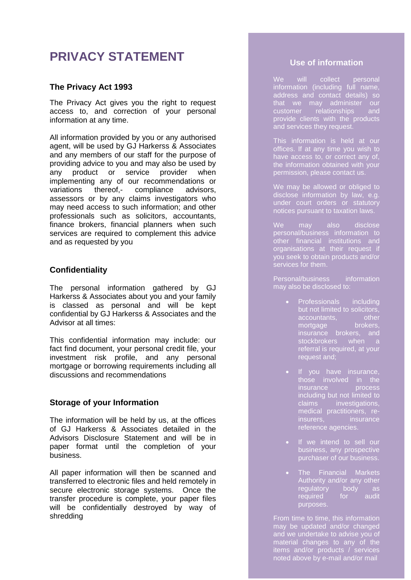### **PRIVACY STATEMENT**

#### **The Privacy Act 1993**

The Privacy Act gives you the right to request access to, and correction of your personal information at any time.

All information provided by you or any authorised agent, will be used by GJ Harkerss & Associates and any members of our staff for the purpose of providing advice to you and may also be used by any product or service provider when implementing any of our recommendations or variations thereof,- compliance advisors, assessors or by any claims investigators who may need access to such information; and other professionals such as solicitors, accountants, finance brokers, financial planners when such services are required to complement this advice and as requested by you

#### **Confidentiality**

The personal information gathered by GJ Harkerss & Associates about you and your family is classed as personal and will be kept confidential by GJ Harkerss & Associates and the Advisor at all times:

This confidential information may include: our fact find document, your personal credit file, your investment risk profile, and any personal mortgage or borrowing requirements including all discussions and recommendations

#### **Storage of your Information**

The information will be held by us, at the offices of GJ Harkerss & Associates detailed in the Advisors Disclosure Statement and will be in paper format until the completion of your business.

All paper information will then be scanned and transferred to electronic files and held remotely in secure electronic storage systems. Once the transfer procedure is complete, your paper files will be confidentially destroyed by way of shredding

#### **Use of information**

We will collect personal information (including full name, address and contact details) so that we may administer our customer relationships and provide clients with the products and services they request.

This information is held at our offices. If at any time you wish to have access to, or correct any of, the information obtained with your permission, please contact us.

We may be allowed or obliged to disclose information by law, e.g. under court orders or statutory notices pursuant to taxation laws.

We may also disclose personal/business information to other financial institutions and organisations at their request if you seek to obtain products and/or services for them.

Personal/business information may also be disclosed to:

- Professionals including but not limited to solicitors,<br>accountants, other<br>mortgage brokers, accountants, mortgage brokers, insurance brokers, and stockbrokers when a referral is required, at your request and;
- If you have insurance, insurance process including but not limited to claims investigations, medical practitioners, reinsurers, insurance reference agencies.
- If we intend to sell our business, any prospective purchaser of our business.
- The Financial Markets Authority and/or any other regulatory body as required for audit purposes.

From time to time, this information may be updated and/or changed and we undertake to advise you of material changes to any of the items and/or products / services noted above by e-mail and/or mail